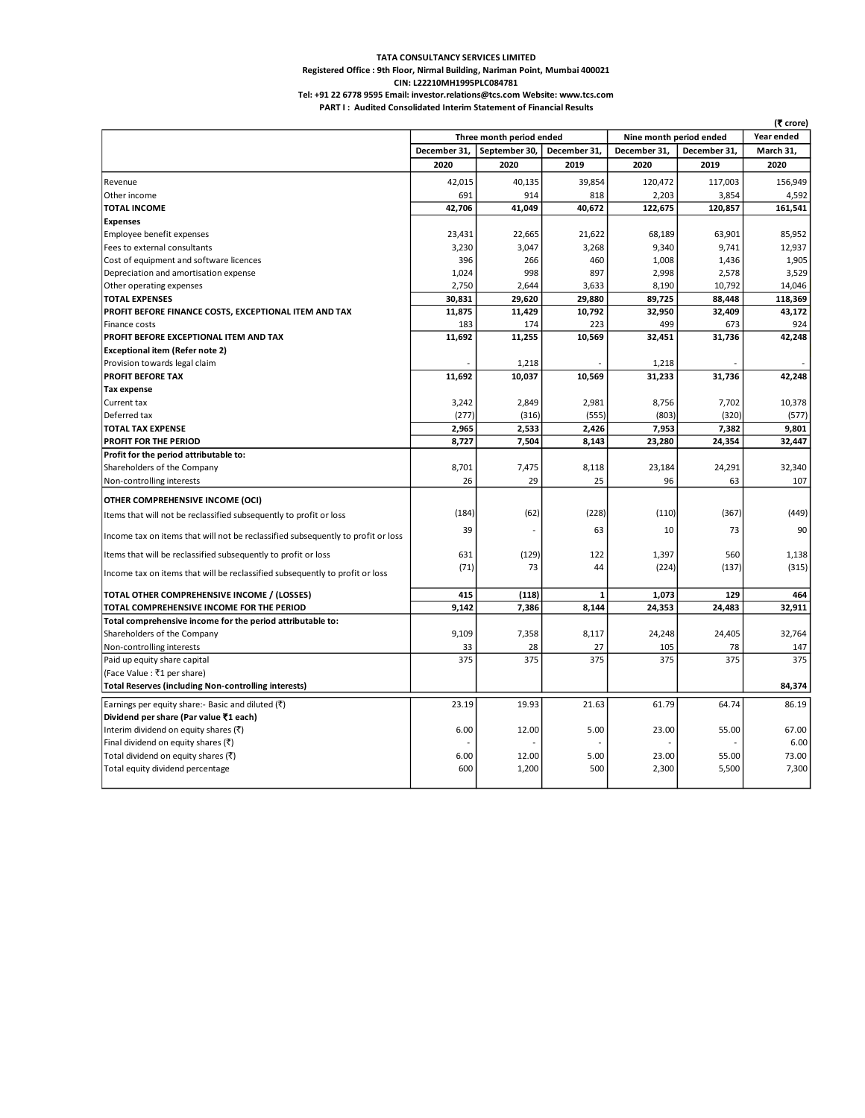## **TATA CONSULTANCY SERVICES LIMITED Registered Office : 9th Floor, Nirmal Building, Nariman Point, Mumbai 400021**

**CIN: L22210MH1995PLC084781**

**PART I : Audited Consolidated Interim Statement of Financial Results Tel: +91 22 6778 9595 Email: investor.relations@tcs.com Website: www.tcs.com**

|                                                                                  | Three month period ended |               |              | Nine month period ended | Year ended   |           |
|----------------------------------------------------------------------------------|--------------------------|---------------|--------------|-------------------------|--------------|-----------|
|                                                                                  | December 31.             | September 30, | December 31. | December 31.            | December 31. | March 31. |
|                                                                                  | 2020                     | 2020          | 2019         | 2020                    | 2019         | 2020      |
| Revenue                                                                          | 42,015                   | 40,135        | 39,854       | 120,472                 | 117,003      | 156,949   |
| Other income                                                                     | 691                      | 914           | 818          | 2,203                   | 3,854        | 4,592     |
| <b>TOTAL INCOME</b>                                                              | 42,706                   | 41,049        | 40,672       | 122,675                 | 120,857      | 161,541   |
| <b>Expenses</b>                                                                  |                          |               |              |                         |              |           |
| Employee benefit expenses                                                        | 23,431                   | 22,665        | 21,622       | 68,189                  | 63,901       | 85,952    |
| Fees to external consultants                                                     | 3,230                    | 3,047         | 3,268        | 9,340                   | 9,741        | 12,937    |
| Cost of equipment and software licences                                          | 396                      | 266           | 460          | 1,008                   | 1,436        | 1,905     |
| Depreciation and amortisation expense                                            | 1,024                    | 998           | 897          | 2,998                   | 2,578        | 3,529     |
| Other operating expenses                                                         | 2,750                    | 2,644         | 3,633        | 8,190                   | 10,792       | 14,046    |
| <b>TOTAL EXPENSES</b>                                                            | 30,831                   | 29,620        | 29,880       | 89,725                  | 88,448       | 118,369   |
| PROFIT BEFORE FINANCE COSTS, EXCEPTIONAL ITEM AND TAX                            | 11,875                   | 11,429        | 10,792       | 32,950                  | 32,409       | 43,172    |
| Finance costs                                                                    | 183                      | 174           | 223          | 499                     | 673          | 924       |
| PROFIT BEFORE EXCEPTIONAL ITEM AND TAX                                           | 11,692                   | 11,255        | 10,569       | 32,451                  | 31,736       | 42,248    |
| <b>Exceptional item (Refer note 2)</b>                                           |                          |               |              |                         |              |           |
| Provision towards legal claim                                                    |                          | 1,218         |              | 1,218                   |              |           |
| <b>PROFIT BEFORE TAX</b>                                                         | 11,692                   | 10,037        | 10,569       | 31,233                  | 31,736       | 42,248    |
| <b>Tax expense</b>                                                               |                          |               |              |                         |              |           |
| Current tax                                                                      | 3,242                    | 2,849         | 2,981        | 8,756                   | 7,702        | 10,378    |
| Deferred tax                                                                     | (277)                    | (316)         | (555)        | (803)                   | (320)        | (577)     |
| <b>TOTAL TAX EXPENSE</b>                                                         | 2,965                    | 2,533         | 2,426        | 7,953                   | 7,382        | 9,801     |
| <b>PROFIT FOR THE PERIOD</b>                                                     | 8,727                    | 7,504         | 8,143        | 23,280                  | 24,354       | 32,447    |
| Profit for the period attributable to:                                           |                          |               |              |                         |              |           |
| Shareholders of the Company                                                      | 8,701                    | 7,475         | 8,118        | 23,184                  | 24,291       | 32,340    |
| Non-controlling interests                                                        | 26                       | 29            | 25           | 96                      | 63           | 107       |
| OTHER COMPREHENSIVE INCOME (OCI)                                                 |                          |               |              |                         |              |           |
|                                                                                  | (184)                    | (62)          | (228)        | (110)                   | (367)        | (449)     |
| Items that will not be reclassified subsequently to profit or loss               |                          |               |              |                         |              |           |
| Income tax on items that will not be reclassified subsequently to profit or loss | 39                       |               | 63           | 10                      | 73           | 90        |
| Items that will be reclassified subsequently to profit or loss                   | 631                      | (129)         | 122          | 1,397                   | 560          | 1,138     |
| Income tax on items that will be reclassified subsequently to profit or loss     | (71)                     | 73            | 44           | (224)                   | (137)        | (315)     |
|                                                                                  |                          |               |              |                         |              |           |
| TOTAL OTHER COMPREHENSIVE INCOME / (LOSSES)                                      | 415                      | (118)         | 1            | 1,073                   | 129          | 464       |
| TOTAL COMPREHENSIVE INCOME FOR THE PERIOD                                        | 9,142                    | 7,386         | 8,144        | 24,353                  | 24,483       | 32,911    |
| Total comprehensive income for the period attributable to:                       |                          |               |              |                         |              |           |
| Shareholders of the Company                                                      | 9,109                    | 7,358         | 8,117        | 24,248                  | 24,405       | 32,764    |
| Non-controlling interests                                                        | 33                       | 28<br>375     | 27           | 105<br>375              | 78           | 147       |
| Paid up equity share capital                                                     | 375                      |               | 375          |                         | 375          | 375       |
| (Face Value : ₹1 per share)                                                      |                          |               |              |                         |              |           |
| <b>Total Reserves (including Non-controlling interests)</b>                      |                          |               |              |                         |              | 84,374    |
| Earnings per equity share:- Basic and diluted $(\bar{\tau})$                     | 23.19                    | 19.93         | 21.63        | 61.79                   | 64.74        | 86.19     |
| Dividend per share (Par value ₹1 each)                                           |                          |               |              |                         |              |           |
| Interim dividend on equity shares $(\bar{\zeta})$                                | 6.00                     | 12.00         | 5.00         | 23.00                   | 55.00        | 67.00     |
| Final dividend on equity shares (₹)                                              |                          |               |              |                         |              | 6.00      |
| Total dividend on equity shares (₹)                                              | 6.00                     | 12.00         | 5.00         | 23.00                   | 55.00        | 73.00     |
| Total equity dividend percentage                                                 | 600                      | 1,200         | 500          | 2,300                   | 5,500        | 7,300     |
|                                                                                  |                          |               |              |                         |              |           |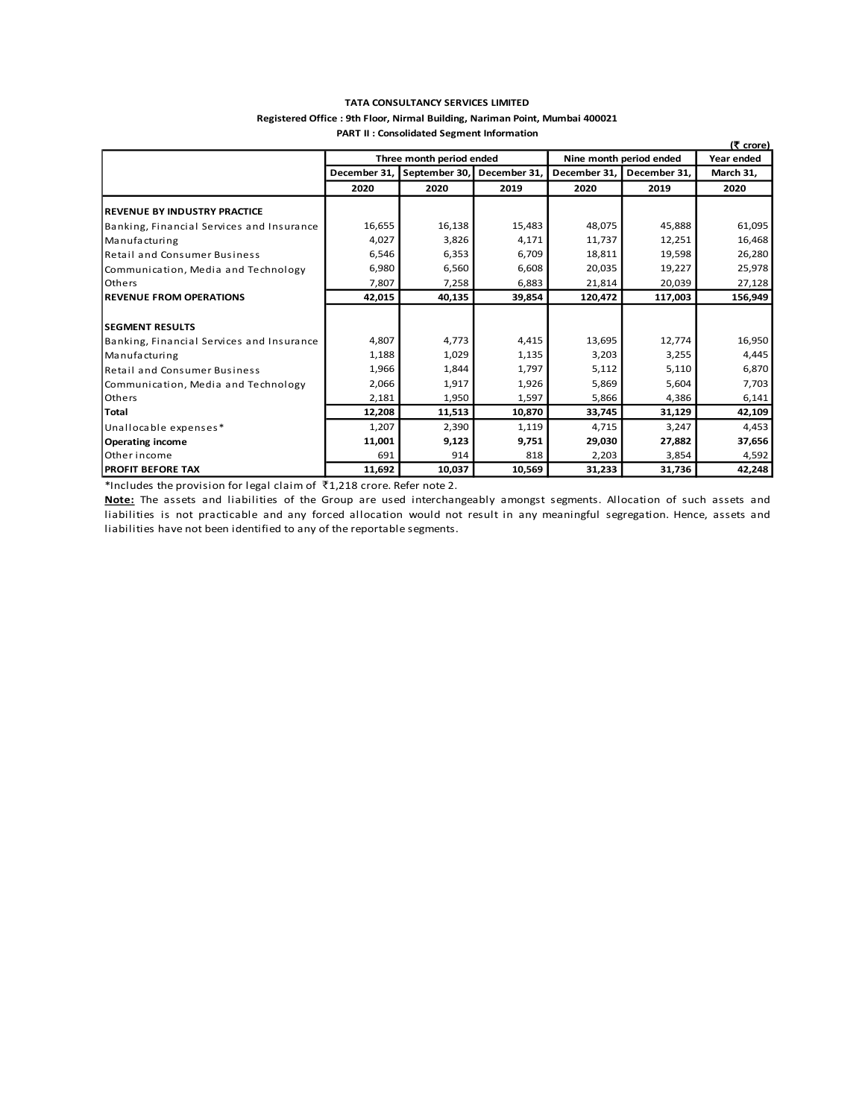#### **TATA CONSULTANCY SERVICES LIMITED**

#### **Registered Office : 9th Floor, Nirmal Building, Nariman Point, Mumbai 400021 PART II : Consolidated Segment Information**

|                                           |        |                            |              |                         |              | (そ crore) |
|-------------------------------------------|--------|----------------------------|--------------|-------------------------|--------------|-----------|
|                                           |        | Three month period ended   |              | Nine month period ended | Year ended   |           |
|                                           |        | December 31, September 30, | December 31, | December 31,            | December 31. | March 31, |
|                                           | 2020   | 2020                       | 2019         | 2020                    | 2019         | 2020      |
| <b>REVENUE BY INDUSTRY PRACTICE</b>       |        |                            |              |                         |              |           |
| Banking, Financial Services and Insurance | 16,655 | 16,138                     | 15,483       | 48,075                  | 45,888       | 61,095    |
| Manufacturing                             | 4,027  | 3,826                      | 4,171        | 11,737                  | 12,251       | 16,468    |
| <b>Retail and Consumer Business</b>       | 6,546  | 6,353                      | 6,709        | 18,811                  | 19,598       | 26,280    |
| Communication, Media and Technology       | 6,980  | 6,560                      | 6,608        | 20,035                  | 19,227       | 25,978    |
| l Others                                  | 7,807  | 7,258                      | 6,883        | 21,814                  | 20,039       | 27,128    |
| <b>REVENUE FROM OPERATIONS</b>            | 42,015 | 40,135                     | 39,854       | 120,472                 | 117,003      | 156,949   |
|                                           |        |                            |              |                         |              |           |
| <b>SEGMENT RESULTS</b>                    |        |                            |              |                         |              |           |
| Banking, Financial Services and Insurance | 4,807  | 4,773                      | 4,415        | 13,695                  | 12,774       | 16,950    |
| Manufacturing                             | 1,188  | 1,029                      | 1,135        | 3,203                   | 3,255        | 4,445     |
| <b>Retail and Consumer Business</b>       | 1,966  | 1,844                      | 1,797        | 5,112                   | 5,110        | 6,870     |
| Communication, Media and Technology       | 2,066  | 1,917                      | 1,926        | 5,869                   | 5,604        | 7,703     |
| Others                                    | 2,181  | 1,950                      | 1,597        | 5,866                   | 4,386        | 6,141     |
| <b>Total</b>                              | 12,208 | 11,513                     | 10,870       | 33,745                  | 31,129       | 42,109    |
| Unallocable expenses*                     | 1,207  | 2,390                      | 1,119        | 4,715                   | 3,247        | 4,453     |
| <b>Operating income</b>                   | 11,001 | 9,123                      | 9,751        | 29,030                  | 27,882       | 37,656    |
| Other income                              | 691    | 914                        | 818          | 2,203                   | 3,854        | 4,592     |
| <b>PROFIT BEFORE TAX</b>                  | 11,692 | 10,037                     | 10,569       | 31,233                  | 31,736       | 42,248    |

\*Includes the provision for legal claim of  $\bar{\tau}$ 1,218 crore. Refer note 2.

**Note:** The assets and liabilities of the Group are used interchangeably amongst segments. Allocation of such assets and liabilities is not practicable and any forced allocation would not result in any meaningful segregation. Hence, assets and liabilities have not been identified to any of the reportable segments.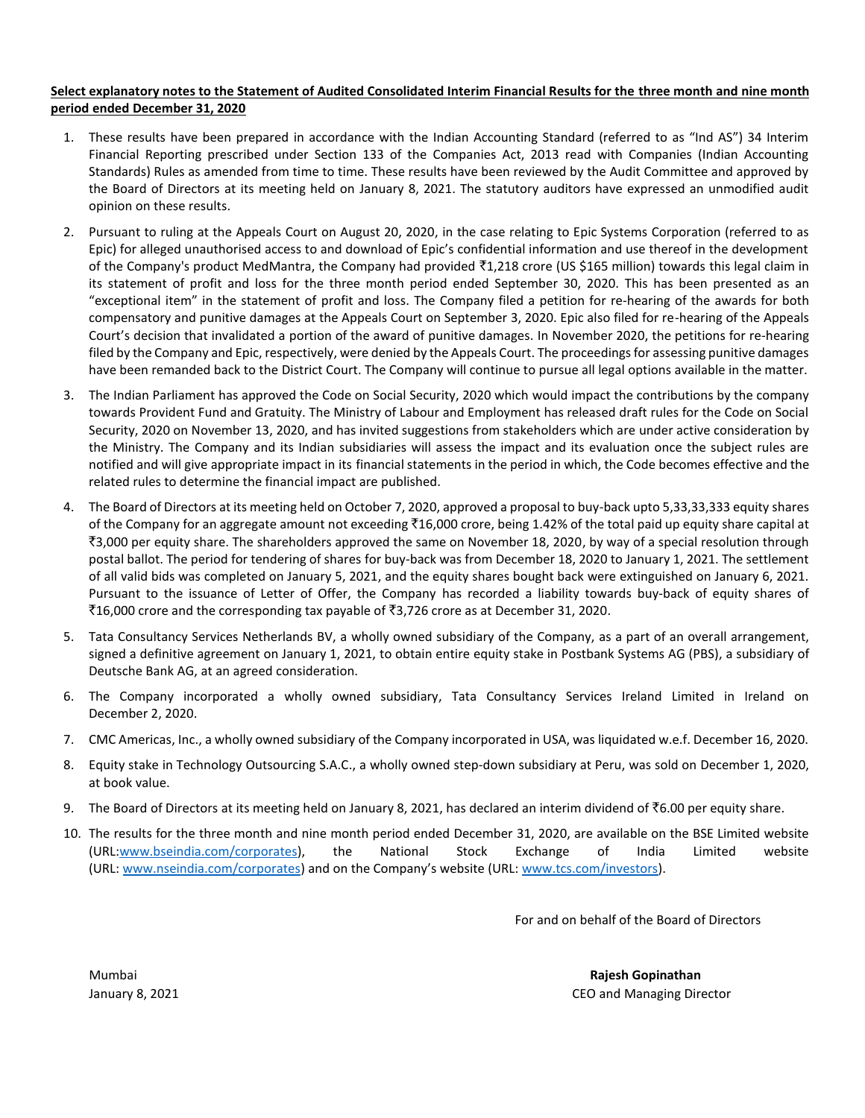# **Select explanatory notes to the Statement of Audited Consolidated Interim Financial Results for the three month and nine month period ended December 31, 2020**

- 1. These results have been prepared in accordance with the Indian Accounting Standard (referred to as "Ind AS") 34 Interim Financial Reporting prescribed under Section 133 of the Companies Act, 2013 read with Companies (Indian Accounting Standards) Rules as amended from time to time. These results have been reviewed by the Audit Committee and approved by the Board of Directors at its meeting held on January 8, 2021. The statutory auditors have expressed an unmodified audit opinion on these results.
- 2. Pursuant to ruling at the Appeals Court on August 20, 2020, in the case relating to Epic Systems Corporation (referred to as Epic) for alleged unauthorised access to and download of Epic's confidential information and use thereof in the development of the Company's product MedMantra, the Company had provided  $\bar{c}1,218$  crore (US \$165 million) towards this legal claim in its statement of profit and loss for the three month period ended September 30, 2020. This has been presented as an "exceptional item" in the statement of profit and loss. The Company filed a petition for re-hearing of the awards for both compensatory and punitive damages at the Appeals Court on September 3, 2020. Epic also filed for re-hearing of the Appeals Court's decision that invalidated a portion of the award of punitive damages. In November 2020, the petitions for re-hearing filed by the Company and Epic, respectively, were denied by the Appeals Court. The proceedings for assessing punitive damages have been remanded back to the District Court. The Company will continue to pursue all legal options available in the matter.
- 3. The Indian Parliament has approved the Code on Social Security, 2020 which would impact the contributions by the company towards Provident Fund and Gratuity. The Ministry of Labour and Employment has released draft rules for the Code on Social Security, 2020 on November 13, 2020, and has invited suggestions from stakeholders which are under active consideration by the Ministry. The Company and its Indian subsidiaries will assess the impact and its evaluation once the subject rules are notified and will give appropriate impact in its financial statements in the period in which, the Code becomes effective and the related rules to determine the financial impact are published.
- 4. The Board of Directors at its meeting held on October 7, 2020, approved a proposal to buy-back upto 5,33,33,333 equity shares of the Company for an aggregate amount not exceeding  $\bar{f}16,000$  crore, being 1.42% of the total paid up equity share capital at `3,000 per equity share. The shareholders approved the same on November 18, 2020, by way of a special resolution through postal ballot. The period for tendering of shares for buy-back was from December 18, 2020 to January 1, 2021. The settlement of all valid bids was completed on January 5, 2021, and the equity shares bought back were extinguished on January 6, 2021. Pursuant to the issuance of Letter of Offer, the Company has recorded a liability towards buy-back of equity shares of `16,000 crore and the corresponding tax payable of `3,726 crore as at December 31, 2020.
- 5. Tata Consultancy Services Netherlands BV, a wholly owned subsidiary of the Company, as a part of an overall arrangement, signed a definitive agreement on January 1, 2021, to obtain entire equity stake in Postbank Systems AG (PBS), a subsidiary of Deutsche Bank AG, at an agreed consideration.
- 6. The Company incorporated a wholly owned subsidiary, Tata Consultancy Services Ireland Limited in Ireland on December 2, 2020.
- 7. CMC Americas, Inc., a wholly owned subsidiary of the Company incorporated in USA, was liquidated w.e.f. December 16, 2020.
- 8. Equity stake in Technology Outsourcing S.A.C., a wholly owned step-down subsidiary at Peru, was sold on December 1, 2020, at book value.
- 9. The Board of Directors at its meeting held on January 8, 2021, has declared an interim dividend of  $\bar{\tau}$ 6.00 per equity share.
- 10. The results for the three month and nine month period ended December 31, 2020, are available on the BSE Limited website (URL[:www.bseindia.com/corporates\)](http://www.bseindia.com/corporates), the National Stock Exchange of India Limited website (URL: [www.nseindia.com/corporates](http://www.nseindia.com/corporates)) and on the Company's website (URL: [www.tcs.com/investors\)](http://www.tcs.com/investors).

For and on behalf of the Board of Directors

Mumbai **Rajesh Gopinathan**  January 8, 2021 CEO and Managing Director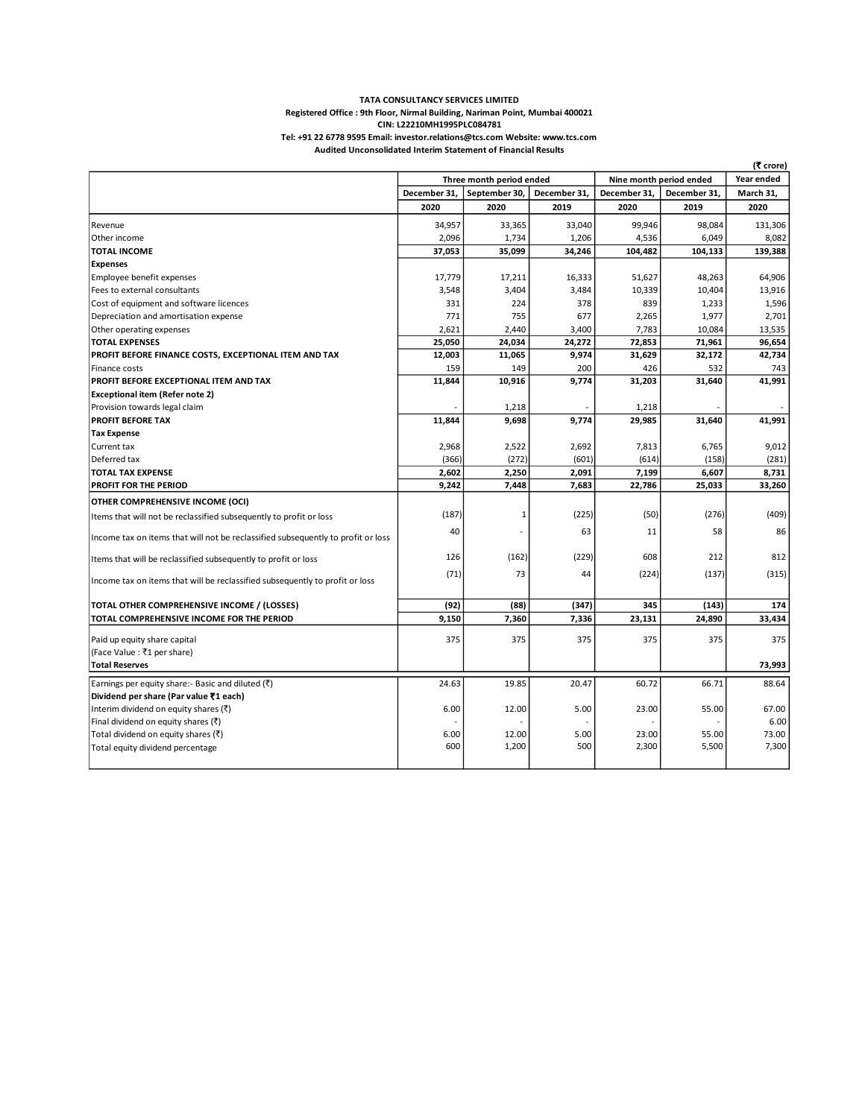#### **TATA CONSULTANCY SERVICES LIMITED Registered Office : 9th Floor, Nirmal Building, Nariman Point, Mumbai 400021 Audited Unconsolidated Interim Statement of Financial Results CIN: L22210MH1995PLC084781 Tel: +91 22 6778 9595 Email: investor.relations@tcs.com Website: www.tcs.com**

|                                                                                  |                          |               |                         |              |              | (₹ crore) |
|----------------------------------------------------------------------------------|--------------------------|---------------|-------------------------|--------------|--------------|-----------|
|                                                                                  | Three month period ended |               | Nine month period ended |              | Year ended   |           |
|                                                                                  | December 31,             | September 30, | December 31,            | December 31, | December 31, | March 31, |
|                                                                                  | 2020                     | 2020          | 2019                    | 2020         | 2019         | 2020      |
| Revenue                                                                          | 34,957                   | 33,365        | 33,040                  | 99,946       | 98,084       | 131,306   |
| Other income                                                                     | 2,096                    | 1,734         | 1,206                   | 4,536        | 6,049        | 8,082     |
| <b>TOTAL INCOME</b>                                                              | 37,053                   | 35,099        | 34,246                  | 104,482      | 104,133      | 139,388   |
| <b>Expenses</b>                                                                  |                          |               |                         |              |              |           |
| Employee benefit expenses                                                        | 17,779                   | 17,211        | 16,333                  | 51,627       | 48,263       | 64,906    |
| Fees to external consultants                                                     | 3,548                    | 3,404         | 3,484                   | 10,339       | 10,404       | 13,916    |
| Cost of equipment and software licences                                          | 331                      | 224           | 378                     | 839          | 1,233        | 1,596     |
| Depreciation and amortisation expense                                            | 771                      | 755           | 677                     | 2,265        | 1,977        | 2,701     |
| Other operating expenses                                                         | 2,621                    | 2,440         | 3,400                   | 7,783        | 10,084       | 13,535    |
| <b>TOTAL EXPENSES</b>                                                            | 25,050                   | 24,034        | 24,272                  | 72,853       | 71,961       | 96,654    |
| PROFIT BEFORE FINANCE COSTS, EXCEPTIONAL ITEM AND TAX                            | 12,003                   | 11,065        | 9,974                   | 31,629       | 32,172       | 42,734    |
| Finance costs                                                                    | 159                      | 149           | 200                     | 426          | 532          | 743       |
| PROFIT BEFORE EXCEPTIONAL ITEM AND TAX                                           | 11,844                   | 10,916        | 9,774                   | 31,203       | 31,640       | 41,991    |
| <b>Exceptional item (Refer note 2)</b>                                           |                          |               |                         |              |              |           |
| Provision towards legal claim                                                    |                          | 1,218         |                         | 1,218        |              |           |
| <b>PROFIT BEFORE TAX</b>                                                         | 11,844                   | 9,698         | 9,774                   | 29,985       | 31,640       | 41,991    |
| <b>Tax Expense</b>                                                               |                          |               |                         |              |              |           |
| Current tax                                                                      | 2,968                    | 2,522         | 2,692                   | 7,813        | 6,765        | 9,012     |
| Deferred tax                                                                     | (366)                    | (272)         | (601)                   | (614)        | (158)        | (281)     |
| <b>TOTAL TAX EXPENSE</b>                                                         | 2,602                    | 2,250         | 2,091                   | 7,199        | 6,607        | 8,731     |
| <b>PROFIT FOR THE PERIOD</b>                                                     | 9,242                    | 7,448         | 7,683                   | 22,786       | 25,033       | 33,260    |
| OTHER COMPREHENSIVE INCOME (OCI)                                                 |                          |               |                         |              |              |           |
|                                                                                  | (187)                    | 1             | (225)                   | (50)         | (276)        | (409)     |
| Items that will not be reclassified subsequently to profit or loss               |                          |               |                         |              |              |           |
| Income tax on items that will not be reclassified subsequently to profit or loss | 40                       |               | 63                      | 11           | 58           | 86        |
| Items that will be reclassified subsequently to profit or loss                   | 126                      | (162)         | (229)                   | 608          | 212          | 812       |
|                                                                                  | (71)                     | 73            | 44                      | (224)        | (137)        | (315)     |
| Income tax on items that will be reclassified subsequently to profit or loss     |                          |               |                         |              |              |           |
|                                                                                  |                          | (88)          | (347)                   |              |              |           |
| TOTAL OTHER COMPREHENSIVE INCOME / (LOSSES)                                      | (92)<br>9,150            | 7,360         |                         | 345          | (143)        | 174       |
| TOTAL COMPREHENSIVE INCOME FOR THE PERIOD                                        |                          |               | 7,336                   | 23,131       | 24,890       | 33,434    |
| Paid up equity share capital                                                     | 375                      | 375           | 375                     | 375          | 375          | 375       |
| (Face Value : ₹1 per share)                                                      |                          |               |                         |              |              |           |
| <b>Total Reserves</b>                                                            |                          |               |                         |              |              | 73,993    |
| Earnings per equity share:- Basic and diluted $(\bar{\tau})$                     | 24.63                    | 19.85         | 20.47                   | 60.72        | 66.71        | 88.64     |
| Dividend per share (Par value ₹1 each)                                           |                          |               |                         |              |              |           |
| Interim dividend on equity shares $(\bar{\zeta})$                                | 6.00                     | 12.00         | 5.00                    | 23.00        | 55.00        | 67.00     |
| Final dividend on equity shares (₹)                                              |                          |               |                         |              |              | 6.00      |
| Total dividend on equity shares (₹)                                              | 6.00                     | 12.00         | 5.00                    | 23.00        | 55.00        | 73.00     |
| Total equity dividend percentage                                                 | 600                      | 1,200         | 500                     | 2,300        | 5,500        | 7,300     |
|                                                                                  |                          |               |                         |              |              |           |